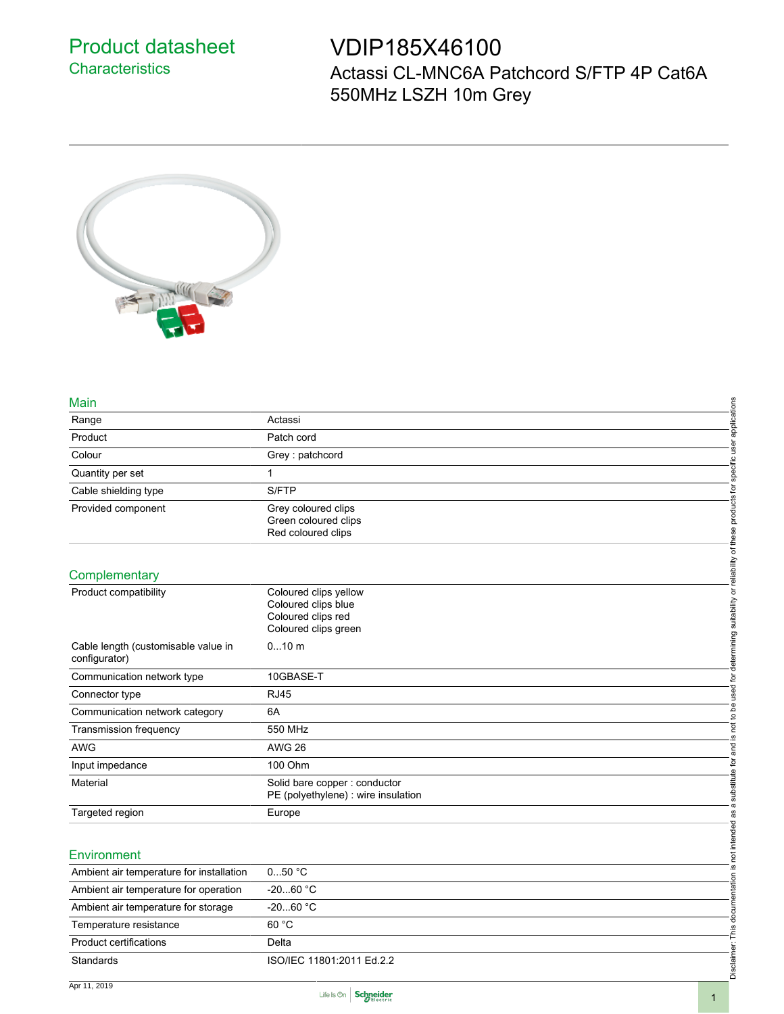## Product datasheet **Characteristics**

## VDIP185X46100

Actassi CL-MNC6A Patchcord S/FTP 4P Cat6A 550MHz LSZH 10m Grey



## Main

| <b>Main</b>                                          |                                                                                                                                                      |
|------------------------------------------------------|------------------------------------------------------------------------------------------------------------------------------------------------------|
| Range                                                | applications<br>Actassi                                                                                                                              |
| Product                                              | Patch cord                                                                                                                                           |
| Colour                                               | specific user<br>Grey: patchcord                                                                                                                     |
| Quantity per set                                     | 1                                                                                                                                                    |
| Cable shielding type                                 | S/FTP                                                                                                                                                |
| Provided component                                   | not to be used for determining suitability or reliability of these products for<br>Grey coloured clips<br>Green coloured clips<br>Red coloured clips |
| Complementary                                        |                                                                                                                                                      |
| Product compatibility                                | Coloured clips yellow<br>Coloured clips blue<br>Coloured clips red<br>Coloured clips green                                                           |
| Cable length (customisable value in<br>configurator) | $010$ m                                                                                                                                              |
| Communication network type                           | 10GBASE-T                                                                                                                                            |
| Connector type                                       | <b>RJ45</b>                                                                                                                                          |
| Communication network category                       | 6A                                                                                                                                                   |
| <b>Transmission frequency</b>                        | 550 MHz<br><u>ی</u>                                                                                                                                  |
| <b>AWG</b>                                           | <b>AWG 26</b>                                                                                                                                        |
| Input impedance                                      | 100 Ohm                                                                                                                                              |
| Material                                             | Disclaimer: This documentation is not intended as a substitute for and<br>Solid bare copper: conductor<br>PE (polyethylene) : wire insulation        |
| Targeted region                                      | Europe                                                                                                                                               |
| Environment                                          |                                                                                                                                                      |
| Ambient air temperature for installation             | $050$ °C                                                                                                                                             |
| Ambient air temperature for operation                | $-2060 °C$                                                                                                                                           |
| Ambient air temperature for storage                  | $-2060 °C$                                                                                                                                           |
| Temperature resistance                               | 60 °C                                                                                                                                                |
| <b>Product certifications</b>                        | Delta                                                                                                                                                |
| Standards                                            | ISO/IEC 11801:2011 Ed.2.2                                                                                                                            |